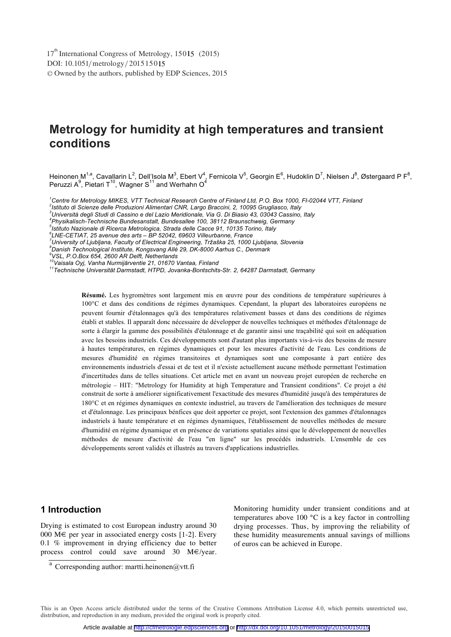# **Metrology for humidity at high temperatures and transient conditions**

Heinonen M<sup>1,a</sup>, Cavallarin L<sup>2</sup>, Dell'Isola M<sup>3</sup>, Ebert V<sup>4</sup>, Fernicola V<sup>5</sup>, Georgin E<sup>6</sup>, Hudoklin D<sup>7</sup>, Nielsen J<sup>8</sup>, Østergaard P F<sup>8</sup>,<br>Peruzzi A<sup>9</sup>, Pietari T<sup>10</sup>, Wagner S<sup>11</sup> and Werhahn O<sup>4</sup>

<sup>1</sup> Centre for Metrology MIKES, VTT Technical Research Centre of Finland Ltd, P.O. Box 1000, FI-02044 VTT, Finland<br><sup>2</sup>letitute di Scienze della Preduzioni Alimentari CND, Large Pressini, 2,10005 Cruclioses, Italy

*Istituto di Scienze delle Produzioni Alimentari CNR, Largo Braccini, 2, 10095 Grugliasco, Italy 3*

*Università degli Studi di Cassino e del Lazio Meridionale, Via G. Di Biasio 43, 03043 Cassino, Italy 4*

*Physikalisch-Technische Bundesanstalt, Bundesallee 100, 38112 Braunschweig, Germany 5*

*Istituto Nazionale di Ricerca Metrologica, Strada delle Cacce 91, 10135 Torino, Italy 6*

°LNE-CETIAT, 25 avenue des arts – BP 52042, 69603 Villeurbanne, France<br><sup>7</sup>University of Ljubljana, Faculty of Electrical Engineering, Tržaška 25, 1000 Ljubljana, Slovenia<br><sup>8</sup>Desish Tashnalasisel lastitute, Kangsuang Allá 2

*Danish Technological Institute, Kongsvang Allé 29, DK-8000 Aarhus C., Denmark* 

*9 VSL, P.O.Box 654, 2600 AR Delft, Netherlands* 

*10Vaisala Oyj, Vanha Nurmijärventie 21, 01670 Vantaa, Finland 11Technische Universität Darmstadt, HTPD, Jovanka-Bontschits-Str. 2, 64287 Darmstadt, Germany* 

**Résumé.** Les hygromètres sont largement mis en œuvre pour des conditions de température supérieures à 100°C et dans des conditions de régimes dynamiques. Cependant, la plupart des laboratoires européens ne peuvent fournir d'étalonnages qu'à des températures relativement basses et dans des conditions de régimes établi et stables. Il apparaît donc nécessaire de développer de nouvelles techniques et méthodes d'étalonnage de sorte à élargir la gamme des possibilités d'étalonnage et de garantir ainsi une traçabilité qui soit en adéquation avec les besoins industriels. Ces développements sont d'autant plus importants vis-à-vis des besoins de mesure à hautes températures, en régimes dynamiques et pour les mesures d'activité de l'eau. Les conditions de mesures d'humidité en régimes transitoires et dynamiques sont une composante à part entière des environnements industriels d'essai et de test et il n'existe actuellement aucune méthode permettant l'estimation d'incertitudes dans de telles situations. Cet article met en avant un nouveau projet européen de recherche en métrologie – HIT: "Metrology for Humidity at high Temperature and Transient conditions". Ce projet a été construit de sorte à améliorer significativement l'exactitude des mesures d'humidité jusqu'à des températures de 180°C et en régimes dynamiques en contexte industriel, au travers de l'amélioration des techniques de mesure et d'étalonnage. Les principaux bénfices que doit apporter ce projet, sont l'extension des gammes d'étalonnages industriels à haute température et en régimes dynamiques, l'établissement de nouvelles méthodes de mesure d'humidité en régime dynamique et en présence de variations spatiales ainsi que le développement de nouvelles méthodes de mesure d'activité de l'eau "en ligne" sur les procédés industriels. L'ensemble de ces développements seront validés et illustrés au travers d'applications industrielles.

### **1 Introduction**

Drying is estimated to cost European industry around 30 000  $M \in$  per year in associated energy costs [1-2]. Every 0.1 % improvement in drying efficiency due to better process control could save around 30 M€/year.

Monitoring humidity under transient conditions and at temperatures above 100 °C is a key factor in controlling drying processes. Thus, by improving the reliability of these humidity measurements annual savings of millions of euros can be achieved in Europe.

This is an Open Access article distributed under the terms of the Creative Commons Attribution License 4.0, which permits unrestricted use, distribution, and reproduction in any medium, provided the original work is properly cited.

a Corresponding author: martti.heinonen@vtt.fi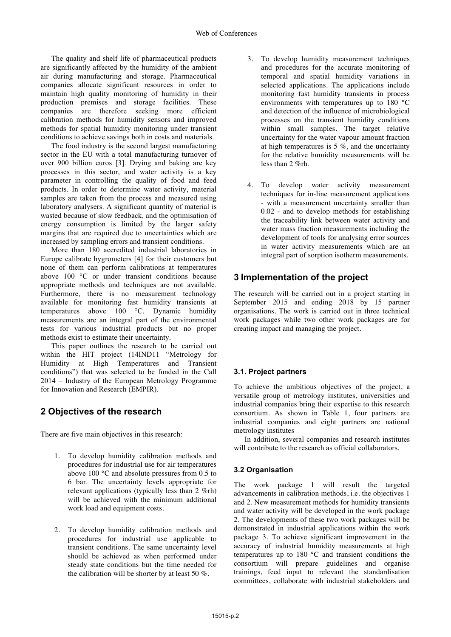The quality and shelf life of pharmaceutical products are significantly affected by the humidity of the ambient air during manufacturing and storage. Pharmaceutical companies allocate significant resources in order to maintain high quality monitoring of humidity in their production premises and storage facilities. These companies are therefore seeking more efficient calibration methods for humidity sensors and improved methods for spatial humidity monitoring under transient conditions to achieve savings both in costs and materials.

The food industry is the second largest manufacturing sector in the EU with a total manufacturing turnover of over 900 billion euros [3]. Drying and baking are key processes in this sector, and water activity is a key parameter in controlling the quality of food and feed products. In order to determine water activity, material samples are taken from the process and measured using laboratory analysers. A significant quantity of material is wasted because of slow feedback, and the optimisation of energy consumption is limited by the larger safety margins that are required due to uncertainties which are increased by sampling errors and transient conditions.

More than 180 accredited industrial laboratories in Europe calibrate hygrometers [4] for their customers but none of them can perform calibrations at temperatures above 100 °C or under transient conditions because appropriate methods and techniques are not available. Furthermore, there is no measurement technology available for monitoring fast humidity transients at temperatures above 100 °C. Dynamic humidity measurements are an integral part of the environmental tests for various industrial products but no proper methods exist to estimate their uncertainty.

This paper outlines the research to be carried out within the HIT project (14IND11 "Metrology for Humidity at High Temperatures and Transient conditions") that was selected to be funded in the Call 2014 – Industry of the European Metrology Programme for Innovation and Research (EMPIR).

# **2 Objectives of the research**

There are five main objectives in this research:

- 1. To develop humidity calibration methods and procedures for industrial use for air temperatures above 100 °C and absolute pressures from 0.5 to 6 bar. The uncertainty levels appropriate for relevant applications (typically less than 2 %rh) will be achieved with the minimum additional work load and equipment costs.
- 2. To develop humidity calibration methods and procedures for industrial use applicable to transient conditions. The same uncertainty level should be achieved as when performed under steady state conditions but the time needed for the calibration will be shorter by at least 50 %.
- 3. To develop humidity measurement techniques and procedures for the accurate monitoring of temporal and spatial humidity variations in selected applications. The applications include monitoring fast humidity transients in process environments with temperatures up to 180 °C and detection of the influence of microbiological processes on the transient humidity conditions within small samples. The target relative uncertainty for the water vapour amount fraction at high temperatures is 5 %, and the uncertainty for the relative humidity measurements will be less than 2 %rh.
- 4. To develop water activity measurement techniques for in-line measurement applications - with a measurement uncertainty smaller than 0.02 - and to develop methods for establishing the traceability link between water activity and water mass fraction measurements including the development of tools for analysing error sources in water activity measurements which are an integral part of sorption isotherm measurements.

# **3 Implementation of the project**

The research will be carried out in a project starting in September 2015 and ending 2018 by 15 partner organisations. The work is carried out in three technical work packages while two other work packages are for creating impact and managing the project.

### **3.1. Project partners**

To achieve the ambitious objectives of the project, a versatile group of metrology institutes, universities and industrial companies bring their expertise to this research consortium. As shown in Table 1, four partners are industrial companies and eight partners are national metrology institutes

In addition, several companies and research institutes will contribute to the research as official collaborators.

### **3.2 Organisation**

The work package 1 will result the targeted advancements in calibration methods, i.e. the objectives 1 and 2. New measurement methods for humidity transients and water activity will be developed in the work package 2. The developments of these two work packages will be demonstrated in industrial applications within the work package 3. To achieve significant improvement in the accuracy of industrial humidity measurements at high temperatures up to 180 °C and transient conditions the consortium will prepare guidelines and organise trainings, feed input to relevant the standardisation committees, collaborate with industrial stakeholders and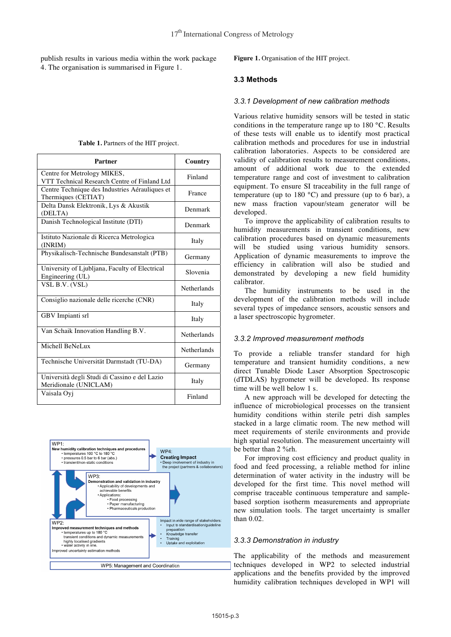publish results in various media within the work package 4. The organisation is summarised in Figure 1.

| Table 1. Partners of the HIT project. |  |  |  |
|---------------------------------------|--|--|--|
|---------------------------------------|--|--|--|

| Partner                                                                     | Country            |
|-----------------------------------------------------------------------------|--------------------|
| Centre for Metrology MIKES,<br>VTT Technical Research Centre of Finland Ltd | Finland            |
| Centre Technique des Industries Aérauliques et<br>Thermiques (CETIAT)       | France             |
| Delta Dansk Elektronik, Lys & Akustik<br>(DELTA)                            | Denmark            |
| Danish Technological Institute (DTI)                                        | Denmark            |
| Istituto Nazionale di Ricerca Metrologica<br>(INRIM)                        | Italy              |
| Physikalisch-Technische Bundesanstalt (PTB)                                 | Germany            |
| University of Ljubljana, Faculty of Electrical<br>Engineering (UL)          | Slovenia           |
| VSL B.V. (VSL)                                                              | <b>Netherlands</b> |
| Consiglio nazionale delle ricerche (CNR)                                    | Italy              |
| GBV Impianti srl                                                            | Italy              |
| Van Schaik Innovation Handling B.V.                                         | <b>Netherlands</b> |
| Michell BeNeLux                                                             | <b>Netherlands</b> |
| Technische Universität Darmstadt (TU-DA)                                    | Germany            |
| Università degli Studi di Cassino e del Lazio<br>Meridionale (UNICLAM)      | Italy              |
| Vaisala Oyj                                                                 | Finland            |



**Figure 1.** Organisation of the HIT project.

#### **3.3 Methods**

#### *3.3.1 Development of new calibration methods*

Various relative humidity sensors will be tested in static conditions in the temperature range up to 180 °C. Results of these tests will enable us to identify most practical calibration methods and procedures for use in industrial calibration laboratories. Aspects to be considered are validity of calibration results to measurement conditions, amount of additional work due to the extended temperature range and cost of investment to calibration equipment. To ensure SI traceability in the full range of temperature (up to 180  $^{\circ}$ C) and pressure (up to 6 bar), a new mass fraction vapour/steam generator will be developed.

To improve the applicability of calibration results to humidity measurements in transient conditions, new calibration procedures based on dynamic measurements will be studied using various humidity sensors. Application of dynamic measurements to improve the efficiency in calibration will also be studied and demonstrated by developing a new field humidity calibrator.

The humidity instruments to be used in the development of the calibration methods will include several types of impedance sensors, acoustic sensors and a laser spectroscopic hygrometer.

#### *3.3.2 Improved measurement methods*

To provide a reliable transfer standard for high temperature and transient humidity conditions, a new direct Tunable Diode Laser Absorption Spectroscopic (dTDLAS) hygrometer will be developed. Its response time will be well below 1 s.

A new approach will be developed for detecting the influence of microbiological processes on the transient humidity conditions within sterile petri dish samples stacked in a large climatic room. The new method will meet requirements of sterile environments and provide high spatial resolution. The measurement uncertainty will be better than 2 %rh.

For improving cost efficiency and product quality in food and feed processing, a reliable method for inline determination of water activity in the industry will be developed for the first time. This novel method will comprise traceable continuous temperature and samplebased sorption isotherm measurements and appropriate new simulation tools. The target uncertainty is smaller than 0.02.

#### *3.3.3 Demonstration in industry*

The applicability of the methods and measurement techniques developed in WP2 to selected industrial applications and the benefits provided by the improved humidity calibration techniques developed in WP1 will